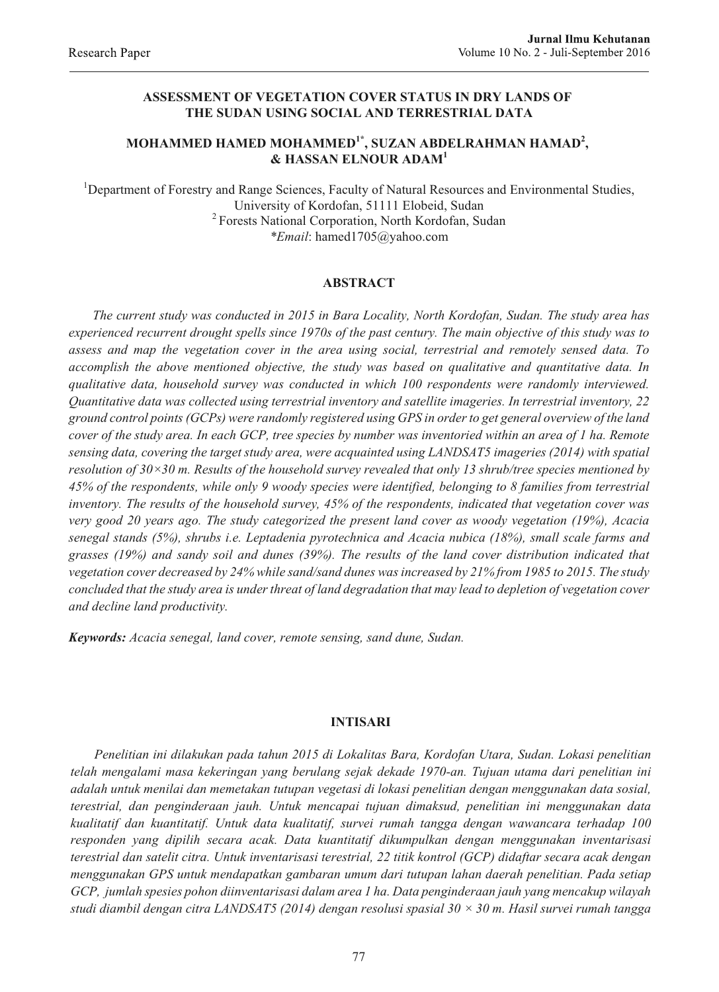# **ASSESSMENT OF VEGETATION COVER STATUS IN DRY LANDS OF THE SUDAN USING SOCIAL AND TERRESTRIAL DATA**

# **MOHAMMED HAMED MOHAMMED1\*, SUZAN ABDELRAHMAN HAMAD<sup>2</sup> , & HASSAN ELNOUR ADAM<sup>1</sup>**

<sup>1</sup>Department of Forestry and Range Sciences, Faculty of Natural Resources and Environmental Studies, University of Kordofan, 51111 Elobeid, Sudan <sup>2</sup> Forests National Corporation, North Kordofan, Sudan *\*Email*: hamed1705@yahoo.com

## **ABSTRACT**

*The current study was conducted in 2015 in Bara Locality, North Kordofan, Sudan. The study area has experienced recurrent drought spells since 1970s of the past century. The main objective of this study was to assess and map the vegetation cover in the area using social, terrestrial and remotely sensed data. To accomplish the above mentioned objective, the study was based on qualitative and quantitative data. In qualitative data, household survey was conducted in which 100 respondents were randomly interviewed. Quantitative data was collected using terrestrial inventory and satellite imageries. In terrestrial inventory, 22 ground control points (GCPs) were randomly registered using GPS in order to get general overview of the land cover of the study area. In each GCP, tree species by number was inventoried within an area of 1 ha. Remote sensing data, covering the target study area, were acquainted using LANDSAT5 imageries (2014) with spatial resolution of 30×30 m. Results of the household survey revealed that only 13 shrub/tree species mentioned by 45% of the respondents, while only 9 woody species were identified, belonging to 8 families from terrestrial inventory. The results of the household survey, 45% of the respondents, indicated that vegetation cover was very good 20 years ago. The study categorized the present land cover as woody vegetation (19%), Acacia senegal stands (5%), shrubs i.e. Leptadenia pyrotechnica and Acacia nubica (18%), small scale farms and grasses (19%) and sandy soil and dunes (39%). The results of the land cover distribution indicated that vegetation cover decreased by 24% while sand/sand dunes was increased by 21% from 1985 to 2015. The study concluded that the study area is under threat of land degradation that may lead to depletion of vegetation cover and decline land productivity.*

*Keywords: Acacia senegal, land cover, remote sensing, sand dune, Sudan.*

### **INTISARI**

*Penelitian ini dilakukan pada tahun 2015 di Lokalitas Bara, Kordofan Utara, Sudan. Lokasi penelitian telah mengalami masa kekeringan yang berulang sejak dekade 1970-an. Tujuan utama dari penelitian ini adalah untuk menilai dan memetakan tutupan vegetasi di lokasi penelitian dengan menggunakan data sosial, terestrial, dan penginderaan jauh. Untuk mencapai tujuan dimaksud, penelitian ini menggunakan data kualitatif dan kuantitatif. Untuk data kualitatif, survei rumah tangga dengan wawancara terhadap 100 responden yang dipilih secara acak. Data kuantitatif dikumpulkan dengan menggunakan inventarisasi terestrial dan satelit citra. Untuk inventarisasi terestrial, 22 titik kontrol (GCP) didaftar secara acak dengan menggunakan GPS untuk mendapatkan gambaran umum dari tutupan lahan daerah penelitian. Pada setiap GCP, jumlah spesies pohon diinventarisasi dalam area 1 ha. Data penginderaan jauh yang mencakup wilayah studi diambil dengan citra LANDSAT5 (2014) dengan resolusi spasial 30 × 30 m. Hasil survei rumah tangga*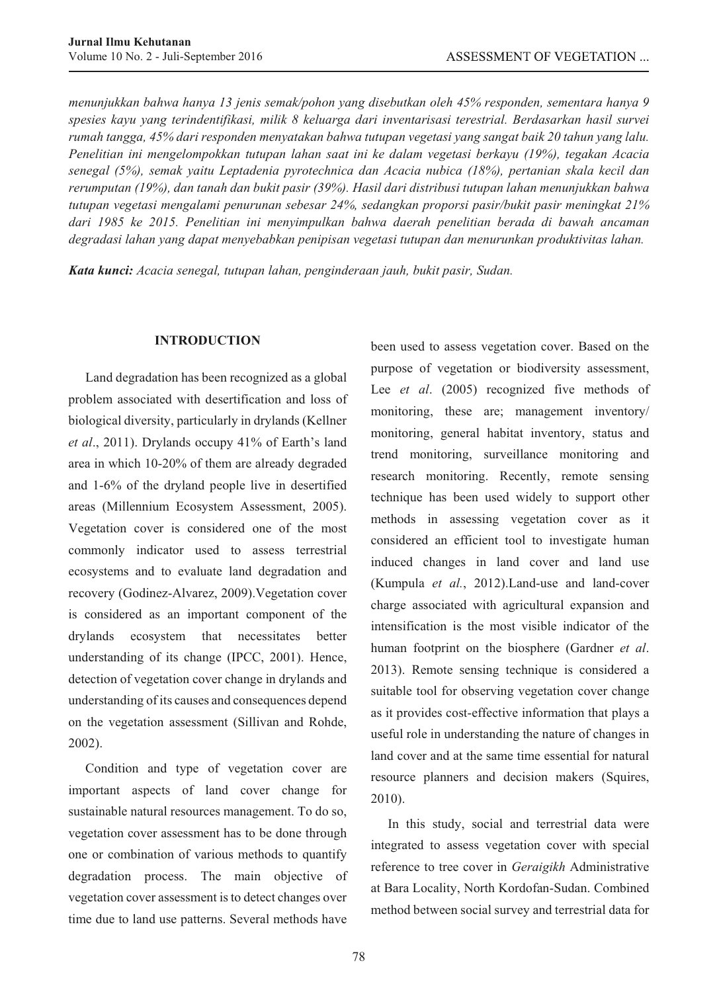*menunjukkan bahwa hanya 13 jenis semak/pohon yang disebutkan oleh 45% responden, sementara hanya 9 spesies kayu yang terindentifikasi, milik 8 keluarga dari inventarisasi terestrial. Berdasarkan hasil survei rumah tangga, 45% dari responden menyatakan bahwa tutupan vegetasi yang sangat baik 20 tahun yang lalu. Penelitian ini mengelompokkan tutupan lahan saat ini ke dalam vegetasi berkayu (19%), tegakan Acacia senegal (5%), semak yaitu Leptadenia pyrotechnica dan Acacia nubica (18%), pertanian skala kecil dan rerumputan (19%), dan tanah dan bukit pasir (39%). Hasil dari distribusi tutupan lahan menunjukkan bahwa tutupan vegetasi mengalami penurunan sebesar 24%, sedangkan proporsi pasir/bukit pasir meningkat 21% dari 1985 ke 2015. Penelitian ini menyimpulkan bahwa daerah penelitian berada di bawah ancaman degradasi lahan yang dapat menyebabkan penipisan vegetasi tutupan dan menurunkan produktivitas lahan.*

*Kata kunci: Acacia senegal, tutupan lahan, penginderaan jauh, bukit pasir, Sudan.*

## **INTRODUCTION**

Land degradation has been recognized as a global problem associated with desertification and loss of biological diversity, particularly in drylands (Kellner *et al*., 2011). Drylands occupy 41% of Earth's land area in which 10-20% of them are already degraded and 1-6% of the dryland people live in desertified areas (Millennium Ecosystem Assessment, 2005). Vegetation cover is considered one of the most commonly indicator used to assess terrestrial ecosystems and to evaluate land degradation and recovery (Godinez-Alvarez, 2009).Vegetation cover is considered as an important component of the drylands ecosystem that necessitates better understanding of its change (IPCC, 2001). Hence, detection of vegetation cover change in drylands and understanding of its causes and consequences depend on the vegetation assessment (Sillivan and Rohde, 2002).

Condition and type of vegetation cover are important aspects of land cover change for sustainable natural resources management. To do so, vegetation cover assessment has to be done through one or combination of various methods to quantify degradation process. The main objective of vegetation cover assessment is to detect changes over time due to land use patterns. Several methods have

been used to assess vegetation cover. Based on the purpose of vegetation or biodiversity assessment, Lee *et al.* (2005) recognized five methods of monitoring, these are; management inventory/ monitoring, general habitat inventory, status and trend monitoring, surveillance monitoring and research monitoring. Recently, remote sensing technique has been used widely to support other methods in assessing vegetation cover as it considered an efficient tool to investigate human induced changes in land cover and land use (Kumpula *et al.*, 2012).Land-use and land-cover charge associated with agricultural expansion and intensification is the most visible indicator of the human footprint on the biosphere (Gardner *et al*. 2013). Remote sensing technique is considered a suitable tool for observing vegetation cover change as it provides cost-effective information that plays a useful role in understanding the nature of changes in land cover and at the same time essential for natural resource planners and decision makers (Squires, 2010).

In this study, social and terrestrial data were integrated to assess vegetation cover with special reference to tree cover in *Geraigikh* Administrative at Bara Locality, North Kordofan-Sudan. Combined method between social survey and terrestrial data for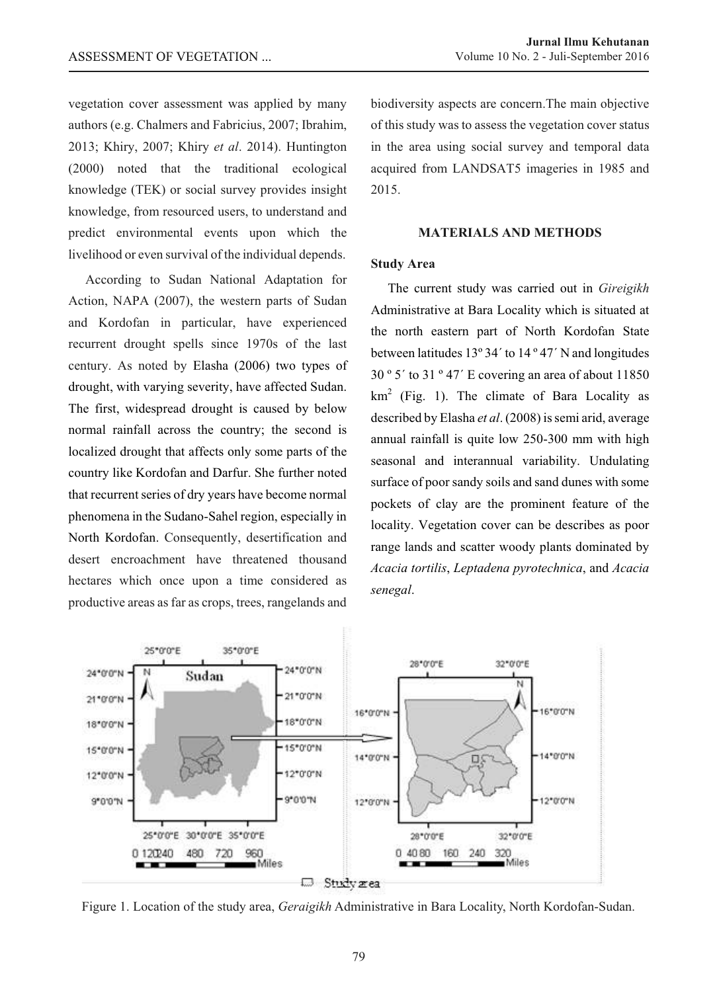vegetation cover assessment was applied by many authors (e.g. Chalmers and Fabricius, 2007; Ibrahim, 2013; Khiry, 2007; Khiry *et al*. 2014). Huntington (2000) noted that the traditional ecological knowledge (TEK) or social survey provides insight knowledge, from resourced users, to understand and predict environmental events upon which the livelihood or even survival of the individual depends.

According to Sudan National Adaptation for Action, NAPA (2007), the western parts of Sudan and Kordofan in particular, have experienced recurrent drought spells since 1970s of the last century. As noted by Elasha (2006) two types of drought, with varying severity, have affected Sudan. The first, widespread drought is caused by below normal rainfall across the country; the second is localized drought that affects only some parts of the country like Kordofan and Darfur. She further noted that recurrent series of dry years have become normal phenomena in the Sudano-Sahel region, especially in North Kordofan. Consequently, desertification and desert encroachment have threatened thousand hectares which once upon a time considered as productive areas as far as crops, trees, rangelands and

biodiversity aspects are concern.The main objective of this study was to assess the vegetation cover status in the area using social survey and temporal data acquired from LANDSAT5 imageries in 1985 and 2015.

## **MATERIALS AND METHODS**

### **Study Area**

The current study was carried out in *Gireigikh* Administrative at Bara Locality which is situated at the north eastern part of North Kordofan State between latitudes 13º 34´ to 14 º 47´ N and longitudes  $30°5'$  to  $31°47'$  E covering an area of about  $11850$  $km<sup>2</sup>$  (Fig. 1). The climate of Bara Locality as described by Elasha *et al*. (2008) is semi arid, average annual rainfall is quite low 250-300 mm with high seasonal and interannual variability. Undulating surface of poor sandy soils and sand dunes with some pockets of clay are the prominent feature of the locality. Vegetation cover can be describes as poor range lands and scatter woody plants dominated by *Acacia tortilis*, *Leptadena pyrotechnica*, and *Acacia senegal*.



Figure 1. Location of the study area, *Geraigikh* Administrative in Bara Locality, North Kordofan-Sudan.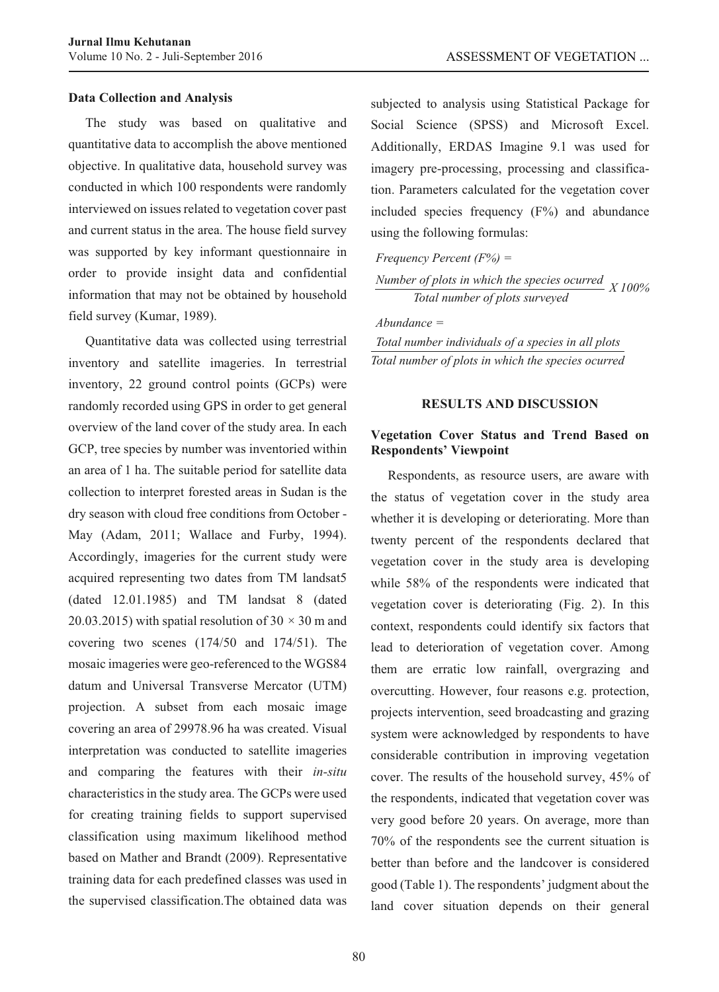### **Data Collection and Analysis**

The study was based on qualitative and quantitative data to accomplish the above mentioned objective. In qualitative data, household survey was conducted in which 100 respondents were randomly interviewed on issues related to vegetation cover past and current status in the area. The house field survey was supported by key informant questionnaire in order to provide insight data and confidential information that may not be obtained by household field survey (Kumar, 1989).

Quantitative data was collected using terrestrial inventory and satellite imageries. In terrestrial inventory, 22 ground control points (GCPs) were randomly recorded using GPS in order to get general overview of the land cover of the study area. In each GCP, tree species by number was inventoried within an area of 1 ha. The suitable period for satellite data collection to interpret forested areas in Sudan is the dry season with cloud free conditions from October - May (Adam, 2011; Wallace and Furby, 1994). Accordingly, imageries for the current study were acquired representing two dates from TM landsat5 (dated 12.01.1985) and TM landsat 8 (dated 20.03.2015) with spatial resolution of  $30 \times 30$  m and covering two scenes (174/50 and 174/51). The mosaic imageries were geo-referenced to the WGS84 datum and Universal Transverse Mercator (UTM) projection. A subset from each mosaic image covering an area of 29978.96 ha was created. Visual interpretation was conducted to satellite imageries and comparing the features with their *in-situ* characteristics in the study area. The GCPs were used for creating training fields to support supervised classification using maximum likelihood method based on Mather and Brandt (2009). Representative training data for each predefined classes was used in the supervised classification.The obtained data was subjected to analysis using Statistical Package for Social Science (SPSS) and Microsoft Excel. Additionally, ERDAS Imagine 9.1 was used for imagery pre-processing, processing and classification. Parameters calculated for the vegetation cover included species frequency  $(F%)$  and abundance using the following formulas:

| Frequency Percent $(F\%)$ =                           |  |
|-------------------------------------------------------|--|
| Number of plots in which the species ocurred $X100\%$ |  |
| Total number of plots surveyed                        |  |

*Abundance = Total number individuals of a species in all plots Total number of plots in which the species ocurred*

#### **RESULTS AND DISCUSSION**

## **Vegetation Cover Status and Trend Based on Respondents' Viewpoint**

Respondents, as resource users, are aware with the status of vegetation cover in the study area whether it is developing or deteriorating. More than twenty percent of the respondents declared that vegetation cover in the study area is developing while 58% of the respondents were indicated that vegetation cover is deteriorating (Fig. 2). In this context, respondents could identify six factors that lead to deterioration of vegetation cover. Among them are erratic low rainfall, overgrazing and overcutting. However, four reasons e.g. protection, projects intervention, seed broadcasting and grazing system were acknowledged by respondents to have considerable contribution in improving vegetation cover. The results of the household survey, 45% of the respondents, indicated that vegetation cover was very good before 20 years. On average, more than 70% of the respondents see the current situation is better than before and the landcover is considered good (Table 1). The respondents' judgment about the land cover situation depends on their general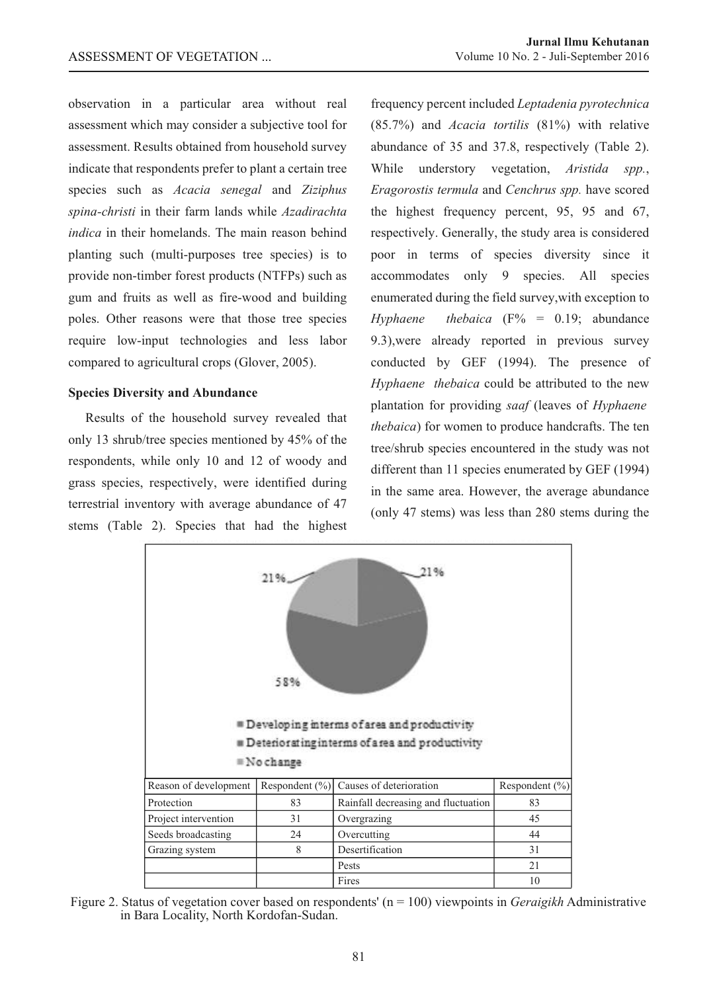observation in a particular area without real assessment which may consider a subjective tool for assessment. Results obtained from household survey indicate that respondents prefer to plant a certain tree species such as *Acacia senegal* and *Ziziphus spina-christi* in their farm lands while *Azadirachta indica* in their homelands. The main reason behind planting such (multi-purposes tree species) is to provide non-timber forest products (NTFPs) such as gum and fruits as well as fire-wood and building poles. Other reasons were that those tree species require low-input technologies and less labor compared to agricultural crops (Glover, 2005).

## **Species Diversity and Abundance**

Results of the household survey revealed that only 13 shrub/tree species mentioned by 45% of the respondents, while only 10 and 12 of woody and grass species, respectively, were identified during terrestrial inventory with average abundance of 47 stems (Table 2). Species that had the highest

frequency percent included *Leptadenia pyrotechnica* (85.7%) and *Acacia tortilis* (81%) with relative abundance of 35 and 37.8, respectively (Table 2). While understory vegetation, *Aristida spp.*, *Eragorostis termula* and *Cenchrus spp.* have scored the highest frequency percent, 95, 95 and 67, respectively. Generally, the study area is considered poor in terms of species diversity since it accommodates only 9 species. All species enumerated during the field survey,with exception to *Hyphaene thebaica*  $(F\% = 0.19;$  abundance 9.3),were already reported in previous survey conducted by GEF (1994). The presence of *Hyphaene thebaica* could be attributed to the new plantation for providing *saaf* (leaves of *Hyphaene thebaica*) for women to produce handcrafts. The ten tree/shrub species encountered in the study was not different than 11 species enumerated by GEF (1994) in the same area. However, the average abundance (only 47 stems) was less than 280 stems during the



Figure 2. Status of vegetation cover based on respondents' (n = 100) viewpoints in *Geraigikh* Administrative in Bara Locality, North Kordofan-Sudan.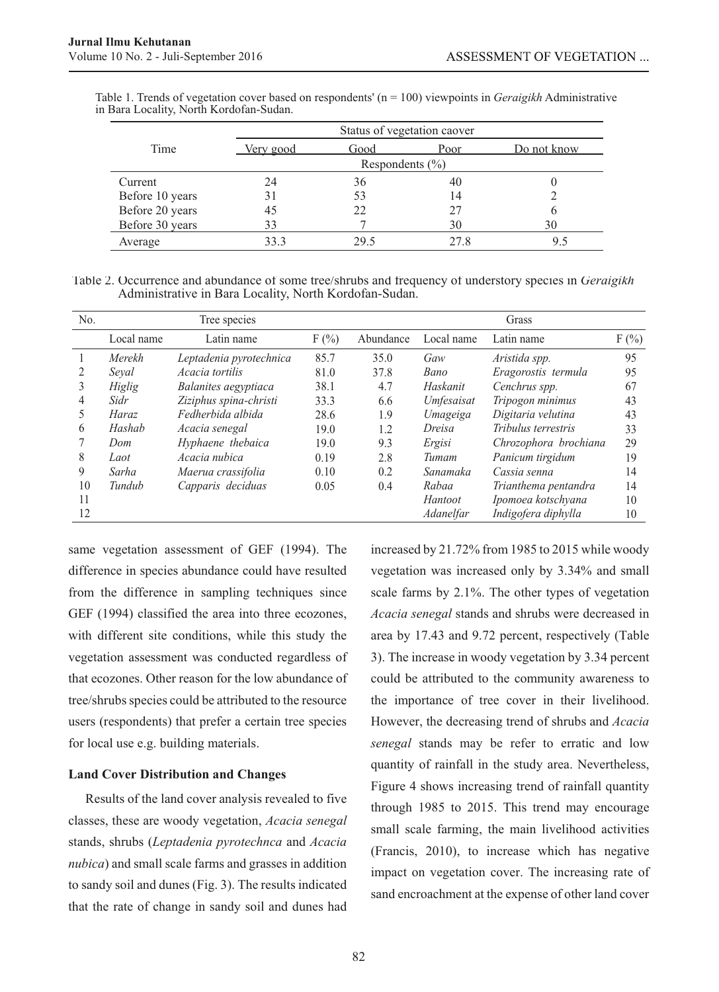|                 | Status of vegetation caover |                     |      |             |  |
|-----------------|-----------------------------|---------------------|------|-------------|--|
| Time            | <u>Very good</u>            | Good                | Poor | Do not know |  |
|                 |                             | Respondents $(\% )$ |      |             |  |
| Current         | 24                          | 36                  | 40   |             |  |
| Before 10 years | 31                          | 53                  | 14   |             |  |
| Before 20 years | 45                          | 22                  | 27   |             |  |
| Before 30 years | 33                          |                     | 30   | 30          |  |
| Average         | 33.3                        | 29.5                | 27.8 |             |  |

Table 1. Trends of vegetation cover based on respondents' (n = 100) viewpoints in *Geraigikh* Administrative in Bara Locality, North Kordofan-Sudan.

Table 2. Occurrence and abundance of some tree/shrubs and frequency of understory species in *Geraigikh* Administrative in Bara Locality, North Kordofan-Sudan.

| No. | Tree species |                         |         | Grass     |            |                       |         |
|-----|--------------|-------------------------|---------|-----------|------------|-----------------------|---------|
|     | Local name   | Latin name              | $F(\%)$ | Abundance | Local name | Latin name            | $F(\%)$ |
|     | Merekh       | Leptadenia pyrotechnica | 85.7    | 35.0      | Gaw        | Aristida spp.         | 95      |
|     | Seval        | Acacia tortilis         | 81.0    | 37.8      | Bano       | Eragorostis termula   | 95      |
| 3   | Higlig       | Balanites aegyptiaca    | 38.1    | 4.7       | Haskanit   | Cenchrus spp.         | 67      |
| 4   | Sidr         | Ziziphus spina-christi  | 33.3    | 6.6       | Umfesaisat | Tripogon minimus      | 43      |
| Ć   | Haraz        | Fedherbida albida       | 28.6    | 1.9       | Umageiga   | Digitaria velutina    | 43      |
| 6   | Hashab       | Acacia senegal          | 19.0    | 1.2       | Dreisa     | Tribulus terrestris   | 33      |
|     | Dom          | Hyphaene thebaica       | 19.0    | 9.3       | Ergisi     | Chrozophora brochiana | 29      |
| 8   | Laot         | Acacia nubica           | 0.19    | 2.8       | Tumam      | Panicum tirgidum      | 19      |
| 9   | Sarha        | Maerua crassifolia      | 0.10    | 0.2       | Sanamaka   | Cassia senna          | 14      |
| 10  | Tundub       | Capparis deciduas       | 0.05    | 0.4       | Rabaa      | Trianthema pentandra  | 14      |
| 11  |              |                         |         |           | Hantoot    | Ipomoea kotschyana    | 10      |
| 12  |              |                         |         |           | Adanelfar  | Indigofera diphylla   | 10      |

same vegetation assessment of GEF (1994). The difference in species abundance could have resulted from the difference in sampling techniques since GEF (1994) classified the area into three ecozones, with different site conditions, while this study the vegetation assessment was conducted regardless of that ecozones. Other reason for the low abundance of tree/shrubs species could be attributed to the resource users (respondents) that prefer a certain tree species for local use e.g. building materials.

## **Land Cover Distribution and Changes**

Results of the land cover analysis revealed to five classes, these are woody vegetation, *Acacia senegal* stands, shrubs (*Leptadenia pyrotechnca* and *Acacia nubica*) and small scale farms and grasses in addition to sandy soil and dunes (Fig. 3). The results indicated that the rate of change in sandy soil and dunes had

increased by 21.72% from 1985 to 2015 while woody vegetation was increased only by 3.34% and small scale farms by 2.1%. The other types of vegetation *Acacia senegal* stands and shrubs were decreased in area by 17.43 and 9.72 percent, respectively (Table 3). The increase in woody vegetation by 3.34 percent could be attributed to the community awareness to the importance of tree cover in their livelihood. However, the decreasing trend of shrubs and *Acacia senegal* stands may be refer to erratic and low quantity of rainfall in the study area. Nevertheless, Figure 4 shows increasing trend of rainfall quantity through 1985 to 2015. This trend may encourage small scale farming, the main livelihood activities (Francis, 2010), to increase which has negative impact on vegetation cover. The increasing rate of sand encroachment at the expense of other land cover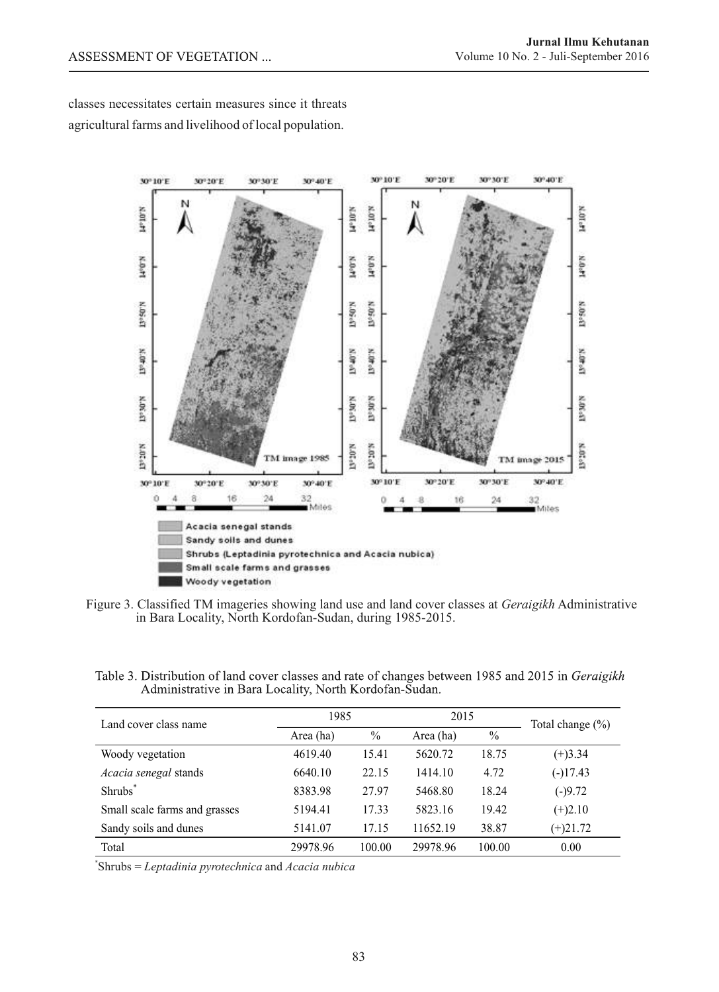classes necessitates certain measures since it threats agricultural farms and livelihood of local population.



Figure 3. Classified TM imageries showing land use and land cover classes at *Geraigikh* Administrative in Bara Locality, North Kordofan-Sudan, during 1985-2015.

Table 3. Distribution of land cover classes and rate of changes between 1985 and 2015 in Geraigikh Administrative in Bara Locality, North Kordofan-Sudan.

| Land cover class name         | 1985      |               | 2015      |        | Total change $(\% )$ |
|-------------------------------|-----------|---------------|-----------|--------|----------------------|
|                               | Area (ha) | $\frac{0}{0}$ | Area (ha) | $\%$   |                      |
| Woody vegetation              | 4619.40   | 15.41         | 5620.72   | 18.75  | $(+)3.34$            |
| Acacia senegal stands         | 6640.10   | 22.15         | 1414.10   | 4.72   | $(-)17.43$           |
| Shrubs <sup>*</sup>           | 8383.98   | 27.97         | 5468.80   | 18.24  | $(-)9.72$            |
| Small scale farms and grasses | 5194.41   | 17.33         | 5823.16   | 19.42  | $(+)2.10$            |
| Sandy soils and dunes         | 5141.07   | 17.15         | 11652.19  | 38.87  | $(+)21.72$           |
| Total                         | 29978.96  | 100.00        | 29978.96  | 100.00 | 0.00                 |

\* Shrubs = *Leptadinia pyrotechnica* and *Acacia nubica*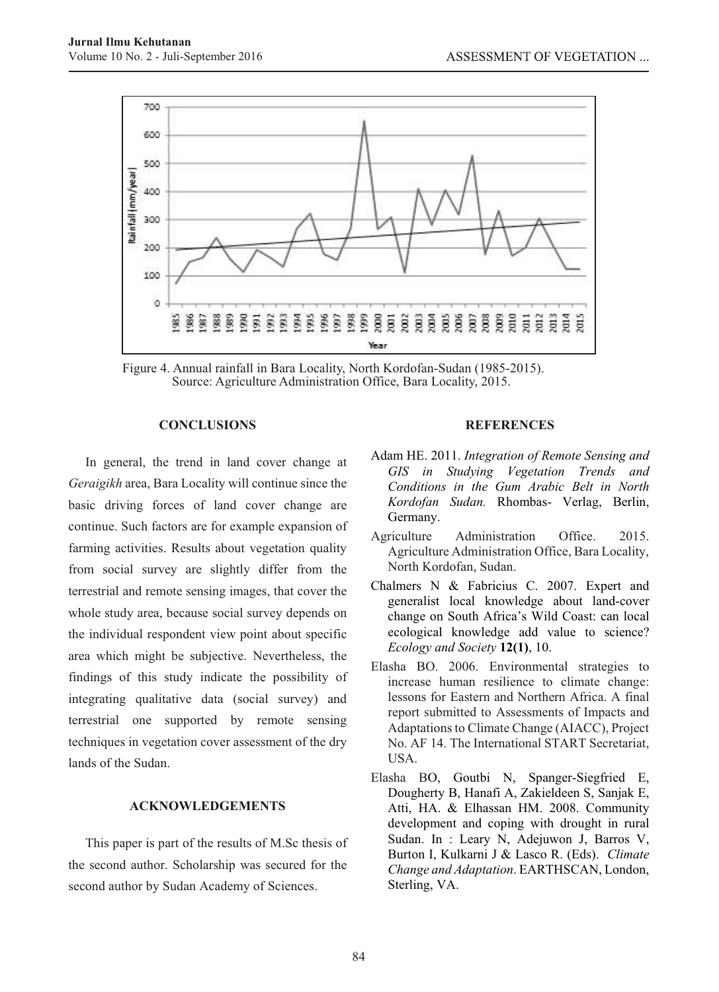

Figure 4. Annual rainfall in Bara Locality, North Kordofan-Sudan (1985-2015). Source: Agriculture Administration Office, Bara Locality, 2015.

## **CONCLUSIONS**

In general, the trend in land cover change at *Geraigikh* area, Bara Locality will continue since the basic driving forces of land cover change are continue. Such factors are for example expansion of farming activities. Results about vegetation quality from social survey are slightly differ from the terrestrial and remote sensing images, that cover the whole study area, because social survey depends on the individual respondent view point about specific area which might be subjective. Nevertheless, the findings of this study indicate the possibility of integrating qualitative data (social survey) and terrestrial one supported by remote sensing techniques in vegetation cover assessment of the dry lands of the Sudan.

## **ACKNOWLEDGEMENTS**

This paper is part of the results of M.Sc thesis of the second author. Scholarship was secured for the second author by Sudan Academy of Sciences.

## **REFERENCES**

- Adam HE. 2011. *Integration of Remote Sensing and GIS in Studying Vegetation Trends and Conditions in the Gum Arabic Belt in North Kordofan Sudan.* Rhombas- Verlag, Berlin, Germany.
- Agriculture Administration Office. 2015. Agriculture Administration Office, Bara Locality, North Kordofan, Sudan.
- Chalmers N & Fabricius C. 2007. Expert and generalist local knowledge about land-cover change on South Africa's Wild Coast: can local ecological knowledge add value to science? *Ecology and Society* **12(1)**, 10.
- Elasha BO. 2006. Environmental strategies to increase human resilience to climate change: lessons for Eastern and Northern Africa. A final report submitted to Assessments of Impacts and Adaptations to Climate Change (AIACC), Project No. AF 14. The International START Secretariat, **USA**
- Elasha BO, Goutbi N, Spanger-Siegfried E, Dougherty B, Hanafi A, Zakieldeen S, Sanjak E, Atti, HA. & Elhassan HM. 2008. Community development and coping with drought in rural Sudan. In : Leary N, Adejuwon J, Barros V, Burton I, Kulkarni J & Lasco R. (Eds). *Climate Change and Adaptation*. EARTHSCAN, London, Sterling, VA.